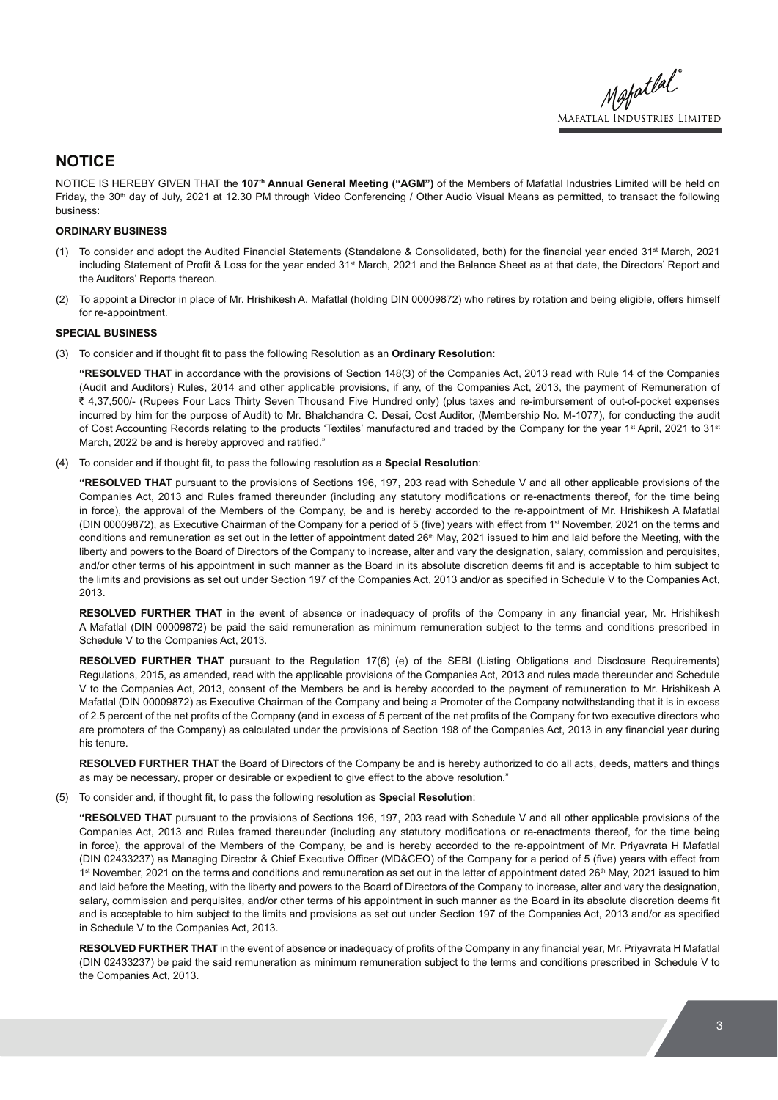Mapatlal **MAFATLAL INDUSTRIES LIMITED** 

## **NOTICE**

NOTICE IS HEREBY GIVEN THAT the **107th Annual General Meeting ("AGM")** of the Members of Mafatlal Industries Limited will be held on Friday, the 30<sup>th</sup> day of July, 2021 at 12.30 PM through Video Conferencing / Other Audio Visual Means as permitted, to transact the following business:

#### **ORDINARY BUSINESS**

- (1) To consider and adopt the Audited Financial Statements (Standalone & Consolidated, both) for the financial year ended 31<sup>st</sup> March, 2021 including Statement of Profit & Loss for the year ended 31<sup>st</sup> March, 2021 and the Balance Sheet as at that date, the Directors' Report and the Auditors' Reports thereon.
- (2) To appoint a Director in place of Mr. Hrishikesh A. Mafatlal (holding DIN 00009872) who retires by rotation and being eligible, offers himself for re-appointment.

#### **SPECIAL BUSINESS**

(3) To consider and if thought fit to pass the following Resolution as an Ordinary Resolution:

**"RESOLVED THAT** in accordance with the provisions of Section 148(3) of the Companies Act, 2013 read with Rule 14 of the Companies (Audit and Auditors) Rules, 2014 and other applicable provisions, if any, of the Companies Act, 2013, the payment of Remuneration of ` 4,37,500/- (Rupees Four Lacs Thirty Seven Thousand Five Hundred only) (plus taxes and re-imbursement of out-of-pocket expenses incurred by him for the purpose of Audit) to Mr. Bhalchandra C. Desai, Cost Auditor, (Membership No. M-1077), for conducting the audit of Cost Accounting Records relating to the products 'Textiles' manufactured and traded by the Company for the year 1<sup>st</sup> April, 2021 to 31<sup>st</sup> March, 2022 be and is hereby approved and ratified."

(4) To consider and if thought fit, to pass the following resolution as a **Special Resolution**:

**"RESOLVED THAT** pursuant to the provisions of Sections 196, 197, 203 read with Schedule V and all other applicable provisions of the Companies Act, 2013 and Rules framed thereunder (including any statutory modifications or re-enactments thereof, for the time being in force), the approval of the Members of the Company, be and is hereby accorded to the re-appointment of Mr. Hrishikesh A Mafatlal (DIN 00009872), as Executive Chairman of the Company for a period of 5 (five) years with effect from 1<sup>st</sup> November, 2021 on the terms and conditions and remuneration as set out in the letter of appointment dated 26<sup>th</sup> May, 2021 issued to him and laid before the Meeting, with the liberty and powers to the Board of Directors of the Company to increase, alter and vary the designation, salary, commission and perquisites, and/or other terms of his appointment in such manner as the Board in its absolute discretion deems fit and is acceptable to him subject to the limits and provisions as set out under Section 197 of the Companies Act, 2013 and/or as specified in Schedule V to the Companies Act, 2013.

**RESOLVED FURTHER THAT** in the event of absence or inadequacy of profits of the Company in any financial year, Mr. Hrishikesh A Mafatlal (DIN 00009872) be paid the said remuneration as minimum remuneration subject to the terms and conditions prescribed in Schedule V to the Companies Act, 2013.

**RESOLVED FURTHER THAT** pursuant to the Regulation 17(6) (e) of the SEBI (Listing Obligations and Disclosure Requirements) Regulations, 2015, as amended, read with the applicable provisions of the Companies Act, 2013 and rules made thereunder and Schedule V to the Companies Act, 2013, consent of the Members be and is hereby accorded to the payment of remuneration to Mr. Hrishikesh A Mafatlal (DIN 00009872) as Executive Chairman of the Company and being a Promoter of the Company notwithstanding that it is in excess of 2.5 percent of the net profits of the Company (and in excess of 5 percent of the net profits of the Company for two executive directors who are promoters of the Company) as calculated under the provisions of Section 198 of the Companies Act, 2013 in any financial year during his tenure.

**RESOLVED FURTHER THAT** the Board of Directors of the Company be and is hereby authorized to do all acts, deeds, matters and things as may be necessary, proper or desirable or expedient to give effect to the above resolution."

(5) To consider and, if thought fit, to pass the following resolution as **Special Resolution**:

**"RESOLVED THAT** pursuant to the provisions of Sections 196, 197, 203 read with Schedule V and all other applicable provisions of the Companies Act, 2013 and Rules framed thereunder (including any statutory modifications or re-enactments thereof, for the time being in force), the approval of the Members of the Company, be and is hereby accorded to the re-appointment of Mr. Priyavrata H Mafatlal (DIN 02433237) as Managing Director & Chief Executive Officer (MD&CEO) of the Company for a period of 5 (five) years with effect from 1<sup>st</sup> November, 2021 on the terms and conditions and remuneration as set out in the letter of appointment dated 26<sup>th</sup> May, 2021 issued to him and laid before the Meeting, with the liberty and powers to the Board of Directors of the Company to increase, alter and vary the designation, salary, commission and perquisites, and/or other terms of his appointment in such manner as the Board in its absolute discretion deems fit and is acceptable to him subject to the limits and provisions as set out under Section 197 of the Companies Act, 2013 and/or as specified in Schedule V to the Companies Act, 2013.

RESOLVED FURTHER THAT in the event of absence or inadequacy of profits of the Company in any financial year, Mr. Priyavrata H Mafatlal (DIN 02433237) be paid the said remuneration as minimum remuneration subject to the terms and conditions prescribed in Schedule V to the Companies Act, 2013.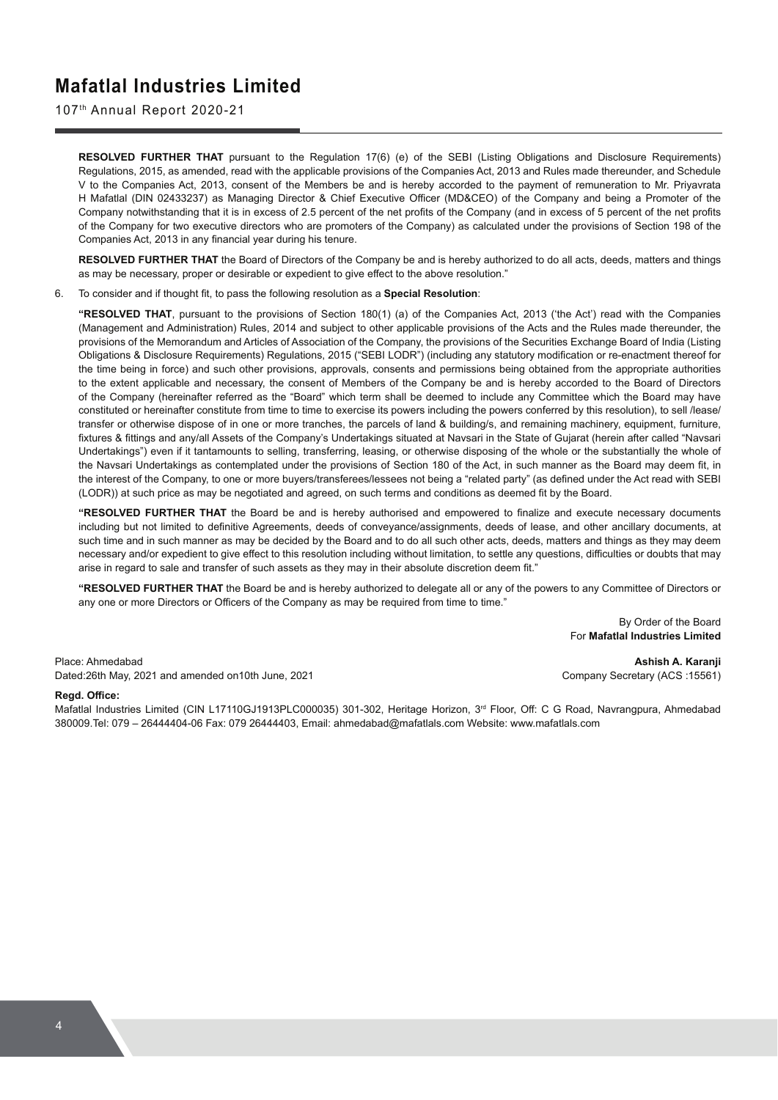107th Annual Report 2020-21

**RESOLVED FURTHER THAT** pursuant to the Regulation 17(6) (e) of the SEBI (Listing Obligations and Disclosure Requirements) Regulations, 2015, as amended, read with the applicable provisions of the Companies Act, 2013 and Rules made thereunder, and Schedule V to the Companies Act, 2013, consent of the Members be and is hereby accorded to the payment of remuneration to Mr. Priyavrata H Mafatlal (DIN 02433237) as Managing Director & Chief Executive Officer (MD&CEO) of the Company and being a Promoter of the Company notwithstanding that it is in excess of 2.5 percent of the net profits of the Company (and in excess of 5 percent of the net profits of the Company for two executive directors who are promoters of the Company) as calculated under the provisions of Section 198 of the Companies Act, 2013 in any financial year during his tenure.

**RESOLVED FURTHER THAT** the Board of Directors of the Company be and is hereby authorized to do all acts, deeds, matters and things as may be necessary, proper or desirable or expedient to give effect to the above resolution."

6. To consider and if thought fit, to pass the following resolution as a **Special Resolution**:

**"RESOLVED THAT**, pursuant to the provisions of Section 180(1) (a) of the Companies Act, 2013 ('the Act') read with the Companies (Management and Administration) Rules, 2014 and subject to other applicable provisions of the Acts and the Rules made thereunder, the provisions of the Memorandum and Articles of Association of the Company, the provisions of the Securities Exchange Board of India (Listing Obligations & Disclosure Requirements) Regulations, 2015 ("SEBI LODR") (including any statutory modification or re-enactment thereof for the time being in force) and such other provisions, approvals, consents and permissions being obtained from the appropriate authorities to the extent applicable and necessary, the consent of Members of the Company be and is hereby accorded to the Board of Directors of the Company (hereinafter referred as the "Board" which term shall be deemed to include any Committee which the Board may have constituted or hereinafter constitute from time to time to exercise its powers including the powers conferred by this resolution), to sell /lease/ transfer or otherwise dispose of in one or more tranches, the parcels of land & building/s, and remaining machinery, equipment, furniture, fixtures & fittings and any/all Assets of the Company's Undertakings situated at Navsari in the State of Gujarat (herein after called "Navsari Undertakings") even if it tantamounts to selling, transferring, leasing, or otherwise disposing of the whole or the substantially the whole of the Navsari Undertakings as contemplated under the provisions of Section 180 of the Act, in such manner as the Board may deem fit, in the interest of the Company, to one or more buyers/transferees/lessees not being a "related party" (as defined under the Act read with SEBI (LODR)) at such price as may be negotiated and agreed, on such terms and conditions as deemed fit by the Board.

"RESOLVED FURTHER THAT the Board be and is hereby authorised and empowered to finalize and execute necessary documents including but not limited to definitive Agreements, deeds of conveyance/assignments, deeds of lease, and other ancillary documents, at such time and in such manner as may be decided by the Board and to do all such other acts, deeds, matters and things as they may deem necessary and/or expedient to give effect to this resolution including without limitation, to settle any questions, difficulties or doubts that may arise in regard to sale and transfer of such assets as they may in their absolute discretion deem fit."

**"RESOLVED FURTHER THAT** the Board be and is hereby authorized to delegate all or any of the powers to any Committee of Directors or any one or more Directors or Officers of the Company as may be required from time to time."

> By Order of the Board For **Mafatlal Industries Limited**

Place: Ahmedabad **Ashish A. Karanji**  Dated:26th May, 2021 and amended on10th June, 2021 Company Secretary (ACS :15561)

#### **Regd. Office:**

Mafatlal Industries Limited (CIN L17110GJ1913PLC000035) 301-302, Heritage Horizon, 3<sup>rd</sup> Floor, Off: C G Road, Navrangpura, Ahmedabad 380009.Tel: 079 – 26444404-06 Fax: 079 26444403, Email: ahmedabad@mafatlals.com Website: www.mafatlals.com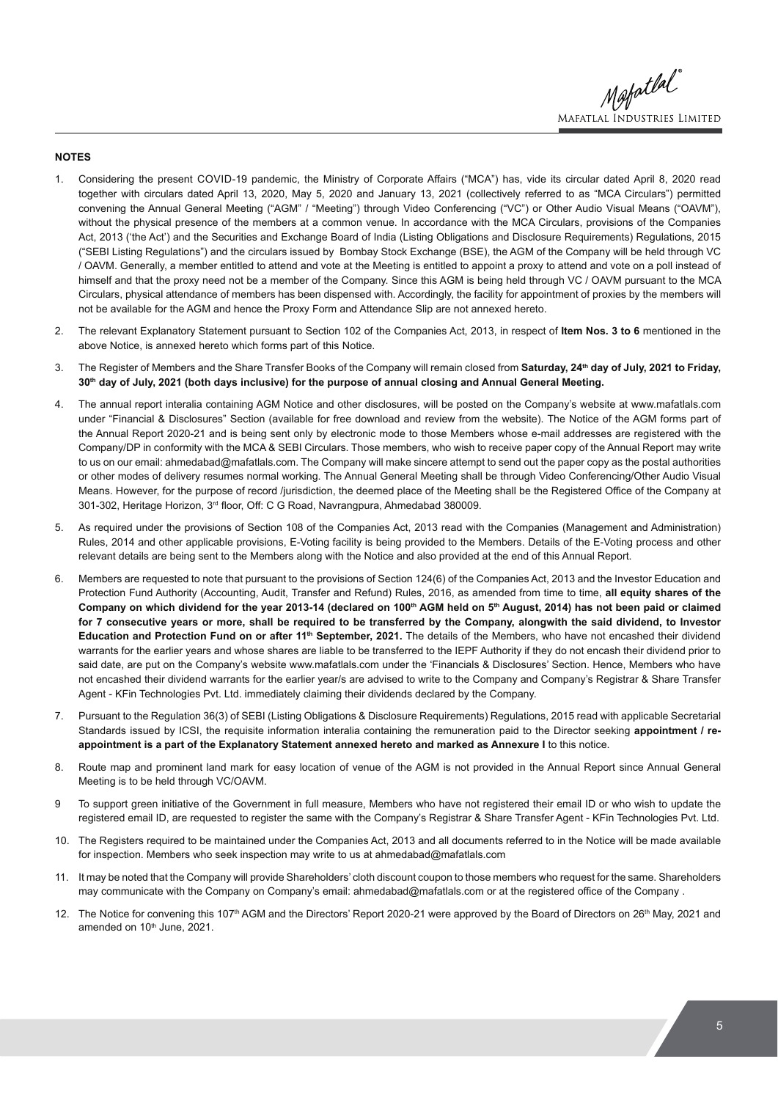Mapatlal **MAFATLAL INDUSTRIES LIMITED** 

#### **NOTES**

- Considering the present COVID-19 pandemic, the Ministry of Corporate Affairs ("MCA") has, vide its circular dated April 8, 2020 read together with circulars dated April 13, 2020, May 5, 2020 and January 13, 2021 (collectively referred to as "MCA Circulars") permitted convening the Annual General Meeting ("AGM" / "Meeting") through Video Conferencing ("VC") or Other Audio Visual Means ("OAVM"), without the physical presence of the members at a common venue. In accordance with the MCA Circulars, provisions of the Companies Act, 2013 ('the Act') and the Securities and Exchange Board of India (Listing Obligations and Disclosure Requirements) Regulations, 2015 ("SEBI Listing Regulations") and the circulars issued by Bombay Stock Exchange (BSE), the AGM of the Company will be held through VC / OAVM. Generally, a member entitled to attend and vote at the Meeting is entitled to appoint a proxy to attend and vote on a poll instead of himself and that the proxy need not be a member of the Company. Since this AGM is being held through VC / OAVM pursuant to the MCA Circulars, physical attendance of members has been dispensed with. Accordingly, the facility for appointment of proxies by the members will not be available for the AGM and hence the Proxy Form and Attendance Slip are not annexed hereto.
- 2. The relevant Explanatory Statement pursuant to Section 102 of the Companies Act, 2013, in respect of **Item Nos. 3 to 6** mentioned in the above Notice, is annexed hereto which forms part of this Notice.
- 3. The Register of Members and the Share Transfer Books of the Company will remain closed from **Saturday, 24th day of July, 2021 to Friday, 30th day of July, 2021 (both days inclusive) for the purpose of annual closing and Annual General Meeting.**
- 4. The annual report interalia containing AGM Notice and other disclosures, will be posted on the Company's website at www.mafatlals.com under "Financial & Disclosures" Section (available for free download and review from the website). The Notice of the AGM forms part of the Annual Report 2020-21 and is being sent only by electronic mode to those Members whose e-mail addresses are registered with the Company/DP in conformity with the MCA & SEBI Circulars. Those members, who wish to receive paper copy of the Annual Report may write to us on our email: ahmedabad@mafatlals.com. The Company will make sincere attempt to send out the paper copy as the postal authorities or other modes of delivery resumes normal working. The Annual General Meeting shall be through Video Conferencing/Other Audio Visual Means. However, for the purpose of record /jurisdiction, the deemed place of the Meeting shall be the Registered Office of the Company at 301-302, Heritage Horizon, 3<sup>rd</sup> floor, Off: C G Road, Navrangpura, Ahmedabad 380009.
- 5. As required under the provisions of Section 108 of the Companies Act, 2013 read with the Companies (Management and Administration) Rules, 2014 and other applicable provisions, E-Voting facility is being provided to the Members. Details of the E-Voting process and other relevant details are being sent to the Members along with the Notice and also provided at the end of this Annual Report.
- 6. Members are requested to note that pursuant to the provisions of Section 124(6) of the Companies Act, 2013 and the Investor Education and Protection Fund Authority (Accounting, Audit, Transfer and Refund) Rules, 2016, as amended from time to time, **all equity shares of the**  Company on which dividend for the year 2013-14 (declared on 100<sup>th</sup> AGM held on 5<sup>th</sup> August, 2014) has not been paid or claimed **for 7 consecutive years or more, shall be required to be transferred by the Company, alongwith the said dividend, to Investor**  Education and Protection Fund on or after 11<sup>th</sup> September, 2021. The details of the Members, who have not encashed their dividend warrants for the earlier years and whose shares are liable to be transferred to the IEPF Authority if they do not encash their dividend prior to said date, are put on the Company's website www.mafatlals.com under the 'Financials & Disclosures' Section. Hence, Members who have not encashed their dividend warrants for the earlier year/s are advised to write to the Company and Company's Registrar & Share Transfer Agent - KFin Technologies Pvt. Ltd. immediately claiming their dividends declared by the Company.
- 7. Pursuant to the Regulation 36(3) of SEBI (Listing Obligations & Disclosure Requirements) Regulations, 2015 read with applicable Secretarial Standards issued by ICSI, the requisite information interalia containing the remuneration paid to the Director seeking **appointment / re**appointment is a part of the Explanatory Statement annexed hereto and marked as Annexure I to this notice.
- 8. Route map and prominent land mark for easy location of venue of the AGM is not provided in the Annual Report since Annual General Meeting is to be held through VC/OAVM.
- 9 To support green initiative of the Government in full measure, Members who have not registered their email ID or who wish to update the registered email ID, are requested to register the same with the Company's Registrar & Share Transfer Agent - KFin Technologies Pvt. Ltd.
- 10. The Registers required to be maintained under the Companies Act, 2013 and all documents referred to in the Notice will be made available for inspection. Members who seek inspection may write to us at ahmedabad@mafatlals.com
- 11. It may be noted that the Company will provide Shareholders' cloth discount coupon to those members who request for the same. Shareholders may communicate with the Company on Company's email: ahmedabad@mafatlals.com or at the registered office of the Company.
- 12. The Notice for convening this 107<sup>th</sup> AGM and the Directors' Report 2020-21 were approved by the Board of Directors on 26<sup>th</sup> May, 2021 and amended on 10<sup>th</sup> June, 2021.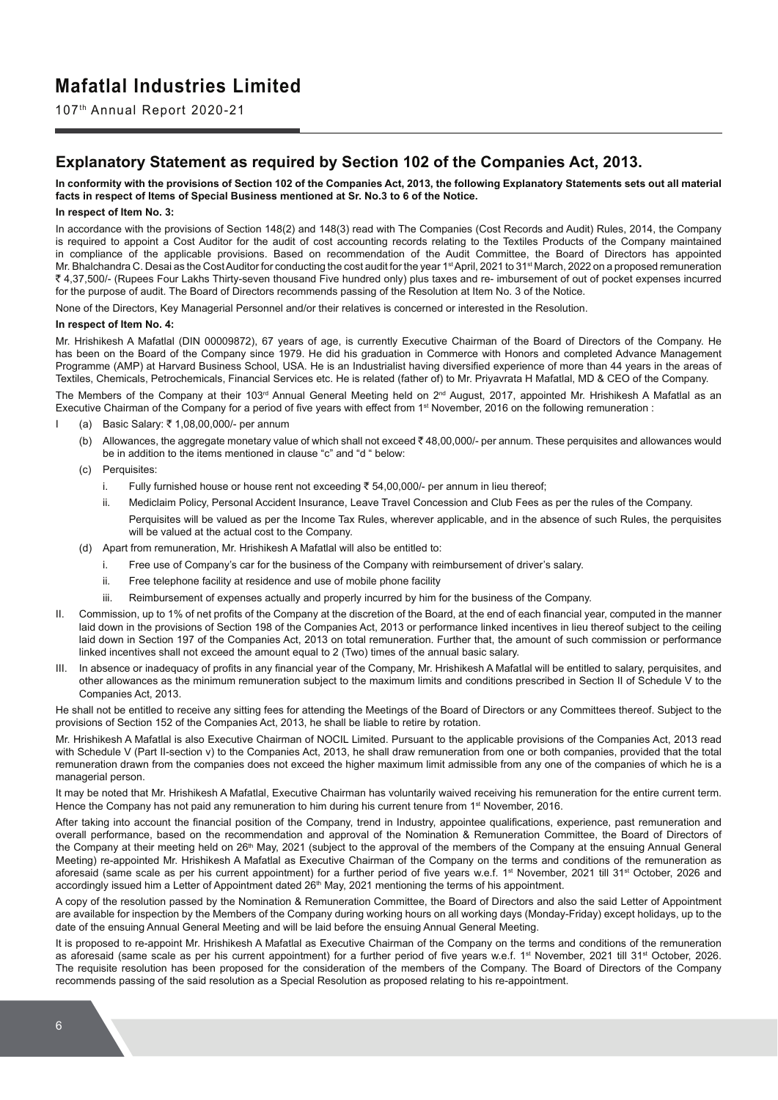107th Annual Report 2020-21

## **Explanatory Statement as required by Section 102 of the Companies Act, 2013.**

**In conformity with the provisions of Section 102 of the Companies Act, 2013, the following Explanatory Statements sets out all material facts in respect of Items of Special Business mentioned at Sr. No.3 to 6 of the Notice.** 

#### **In respect of Item No. 3:**

In accordance with the provisions of Section 148(2) and 148(3) read with The Companies (Cost Records and Audit) Rules, 2014, the Company is required to appoint a Cost Auditor for the audit of cost accounting records relating to the Textiles Products of the Company maintained in compliance of the applicable provisions. Based on recommendation of the Audit Committee, the Board of Directors has appointed Mr. Bhalchandra C. Desai as the Cost Auditor for conducting the cost audit for the year 1<sup>st</sup> April, 2021 to 31<sup>st</sup> March, 2022 on a proposed remuneration ` 4,37,500/- (Rupees Four Lakhs Thirty-seven thousand Five hundred only) plus taxes and re- imbursement of out of pocket expenses incurred for the purpose of audit. The Board of Directors recommends passing of the Resolution at Item No. 3 of the Notice.

None of the Directors, Key Managerial Personnel and/or their relatives is concerned or interested in the Resolution.

#### **In respect of Item No. 4:**

Mr. Hrishikesh A Mafatlal (DIN 00009872), 67 years of age, is currently Executive Chairman of the Board of Directors of the Company. He has been on the Board of the Company since 1979. He did his graduation in Commerce with Honors and completed Advance Management Programme (AMP) at Harvard Business School, USA. He is an Industrialist having diversified experience of more than 44 years in the areas of Textiles, Chemicals, Petrochemicals, Financial Services etc. He is related (father of) to Mr. Priyavrata H Mafatlal, MD & CEO of the Company.

The Members of the Company at their 103<sup>rd</sup> Annual General Meeting held on 2<sup>nd</sup> August, 2017, appointed Mr. Hrishikesh A Mafatlal as an Executive Chairman of the Company for a period of five years with effect from 1<sup>st</sup> November, 2016 on the following remuneration :

- (a) Basic Salary: ₹ 1,08,00,000/- per annum
	- (b) Allowances, the aggregate monetary value of which shall not exceed  $\bar{\tau}$  48,00,000/- per annum. These perguisites and allowances would be in addition to the items mentioned in clause "c" and "d " below:
	- (c) Perquisites:
		- i. Fully furnished house or house rent not exceeding  $\bar{\tau}$  54,00,000/- per annum in lieu thereof;
		- ii. Mediclaim Policy, Personal Accident Insurance, Leave Travel Concession and Club Fees as per the rules of the Company. Perquisites will be valued as per the Income Tax Rules, wherever applicable, and in the absence of such Rules, the perquisites will be valued at the actual cost to the Company.
	- (d) Apart from remuneration, Mr. Hrishikesh A Mafatlal will also be entitled to:
		- i. Free use of Company's car for the business of the Company with reimbursement of driver's salary.
		- ii. Free telephone facility at residence and use of mobile phone facility
		- iii. Reimbursement of expenses actually and properly incurred by him for the business of the Company.
- II. Commission, up to 1% of net profits of the Company at the discretion of the Board, at the end of each financial year, computed in the manner laid down in the provisions of Section 198 of the Companies Act, 2013 or performance linked incentives in lieu thereof subject to the ceiling laid down in Section 197 of the Companies Act, 2013 on total remuneration. Further that, the amount of such commission or performance linked incentives shall not exceed the amount equal to 2 (Two) times of the annual basic salary.
- III. In absence or inadeguacy of profits in any financial year of the Company. Mr. Hrishikesh A Mafatlal will be entitled to salary, perguisites, and other allowances as the minimum remuneration subject to the maximum limits and conditions prescribed in Section II of Schedule V to the Companies Act, 2013.

He shall not be entitled to receive any sitting fees for attending the Meetings of the Board of Directors or any Committees thereof. Subject to the provisions of Section 152 of the Companies Act, 2013, he shall be liable to retire by rotation.

Mr. Hrishikesh A Mafatlal is also Executive Chairman of NOCIL Limited. Pursuant to the applicable provisions of the Companies Act, 2013 read with Schedule V (Part II-section v) to the Companies Act, 2013, he shall draw remuneration from one or both companies, provided that the total remuneration drawn from the companies does not exceed the higher maximum limit admissible from any one of the companies of which he is a managerial person.

It may be noted that Mr. Hrishikesh A Mafatlal, Executive Chairman has voluntarily waived receiving his remuneration for the entire current term. Hence the Company has not paid any remuneration to him during his current tenure from 1<sup>st</sup> November, 2016.

After taking into account the financial position of the Company, trend in Industry, appointee qualifications, experience, past remuneration and overall performance, based on the recommendation and approval of the Nomination & Remuneration Committee, the Board of Directors of the Company at their meeting held on 26<sup>th</sup> May, 2021 (subject to the approval of the members of the Company at the ensuing Annual General Meeting) re-appointed Mr. Hrishikesh A Mafatlal as Executive Chairman of the Company on the terms and conditions of the remuneration as aforesaid (same scale as per his current appointment) for a further period of five years w.e.f.  $1<sup>st</sup>$  November, 2021 till 31<sup>st</sup> October, 2026 and accordingly issued him a Letter of Appointment dated 26<sup>th</sup> May, 2021 mentioning the terms of his appointment.

A copy of the resolution passed by the Nomination & Remuneration Committee, the Board of Directors and also the said Letter of Appointment are available for inspection by the Members of the Company during working hours on all working days (Monday-Friday) except holidays, up to the date of the ensuing Annual General Meeting and will be laid before the ensuing Annual General Meeting.

It is proposed to re-appoint Mr. Hrishikesh A Mafatlal as Executive Chairman of the Company on the terms and conditions of the remuneration as aforesaid (same scale as per his current appointment) for a further period of five years w.e.f. 1<sup>st</sup> November, 2021 till 31<sup>st</sup> October, 2026. The requisite resolution has been proposed for the consideration of the members of the Company. The Board of Directors of the Company recommends passing of the said resolution as a Special Resolution as proposed relating to his re-appointment.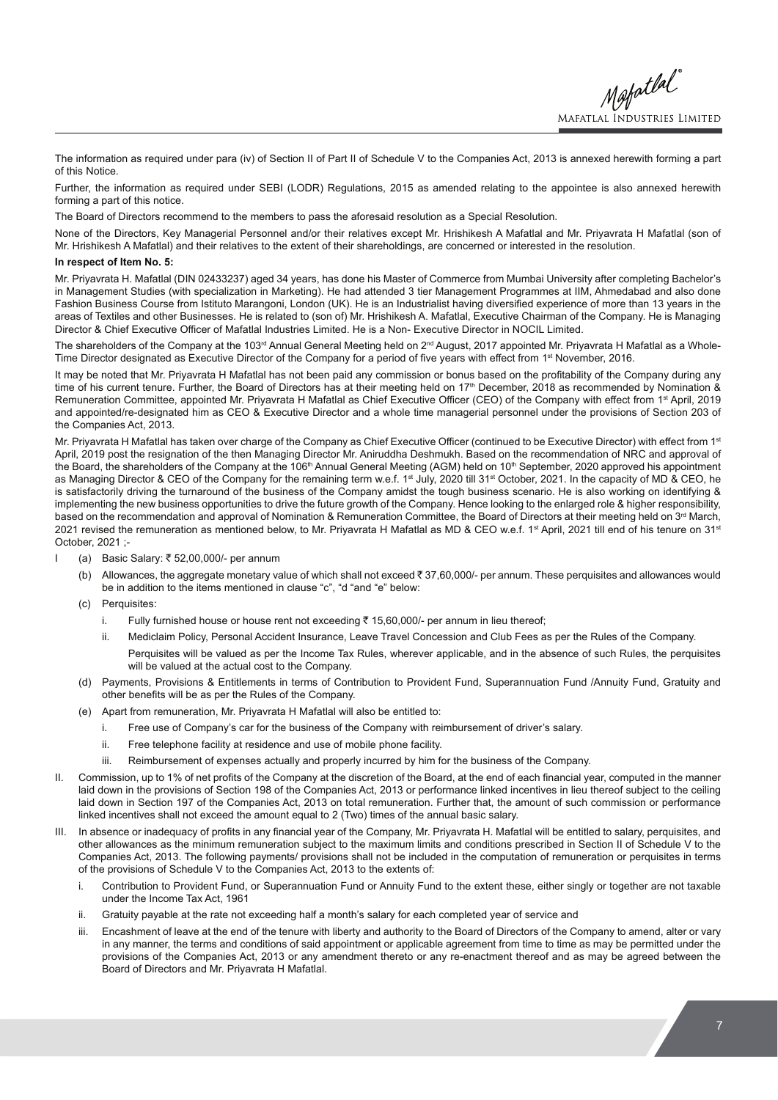Mafatlal **MAFATLAL INDUSTRIES LIMITED** 

The information as required under para (iv) of Section II of Part II of Schedule V to the Companies Act, 2013 is annexed herewith forming a part of this Notice.

Further, the information as required under SEBI (LODR) Regulations, 2015 as amended relating to the appointee is also annexed herewith forming a part of this notice.

The Board of Directors recommend to the members to pass the aforesaid resolution as a Special Resolution.

None of the Directors, Key Managerial Personnel and/or their relatives except Mr. Hrishikesh A Mafatlal and Mr. Priyavrata H Mafatlal (son of Mr. Hrishikesh A Mafatlal) and their relatives to the extent of their shareholdings, are concerned or interested in the resolution.

#### **In respect of Item No. 5:**

Mr. Priyavrata H. Mafatlal (DIN 02433237) aged 34 years, has done his Master of Commerce from Mumbai University after completing Bachelor's in Management Studies (with specialization in Marketing). He had attended 3 tier Management Programmes at IIM, Ahmedabad and also done Fashion Business Course from Istituto Marangoni, London (UK). He is an Industrialist having diversified experience of more than 13 years in the areas of Textiles and other Businesses. He is related to (son of) Mr. Hrishikesh A. Mafatlal, Executive Chairman of the Company. He is Managing Director & Chief Executive Officer of Mafatlal Industries Limited. He is a Non- Executive Director in NOCIL Limited.

The shareholders of the Company at the 103<sup>rd</sup> Annual General Meeting held on 2<sup>nd</sup> August, 2017 appointed Mr. Priyavrata H Mafatlal as a Whole-Time Director designated as Executive Director of the Company for a period of five years with effect from 1<sup>st</sup> November, 2016.

It may be noted that Mr. Privavrata H Mafatlal has not been paid any commission or bonus based on the profitability of the Company during any time of his current tenure. Further, the Board of Directors has at their meeting held on 17<sup>th</sup> December, 2018 as recommended by Nomination & Remuneration Committee, appointed Mr. Priyavrata H Mafatlal as Chief Executive Officer (CEO) of the Company with effect from 1<sup>st</sup> April, 2019 and appointed/re-designated him as CEO & Executive Director and a whole time managerial personnel under the provisions of Section 203 of the Companies Act, 2013.

Mr. Priyavrata H Mafatlal has taken over charge of the Company as Chief Executive Officer (continued to be Executive Director) with effect from 1st April, 2019 post the resignation of the then Managing Director Mr. Aniruddha Deshmukh. Based on the recommendation of NRC and approval of the Board, the shareholders of the Company at the 106<sup>th</sup> Annual General Meeting (AGM) held on 10<sup>th</sup> September, 2020 approved his appointment as Managing Director & CEO of the Company for the remaining term w.e.f. 1<sup>st</sup> July, 2020 till 31<sup>st</sup> October, 2021. In the capacity of MD & CEO, he is satisfactorily driving the turnaround of the business of the Company amidst the tough business scenario. He is also working on identifying & implementing the new business opportunities to drive the future growth of the Company. Hence looking to the enlarged role & higher responsibility, based on the recommendation and approval of Nomination & Remuneration Committee, the Board of Directors at their meeting held on 3<sup>rd</sup> March, 2021 revised the remuneration as mentioned below, to Mr. Priyavrata H Mafatlal as MD & CEO w.e.f. 1<sup>st</sup> April, 2021 till end of his tenure on 31<sup>st</sup> October, 2021 ;-

- I (a) Basic Salary: ₹ 52,00,000/- per annum
	- (b) Allowances, the aggregate monetary value of which shall not exceed ` 37,60,000/- per annum. These perquisites and allowances would be in addition to the items mentioned in clause "c", "d "and "e" below:
	- (c) Perquisites:
		- i. Fully furnished house or house rent not exceeding  $\bar{\tau}$  15,60,000/- per annum in lieu thereof;
		- ii. Mediclaim Policy, Personal Accident Insurance, Leave Travel Concession and Club Fees as per the Rules of the Company. Perquisites will be valued as per the Income Tax Rules, wherever applicable, and in the absence of such Rules, the perquisites will be valued at the actual cost to the Company.
	- (d) Payments, Provisions & Entitlements in terms of Contribution to Provident Fund, Superannuation Fund /Annuity Fund, Gratuity and other benefits will be as per the Rules of the Company.
	- (e) Apart from remuneration, Mr. Priyavrata H Mafatlal will also be entitled to:
		- i. Free use of Company's car for the business of the Company with reimbursement of driver's salary.
		- ii. Free telephone facility at residence and use of mobile phone facility.
		- iii. Reimbursement of expenses actually and properly incurred by him for the business of the Company.
- II. Commission, up to 1% of net profits of the Company at the discretion of the Board, at the end of each financial year, computed in the manner laid down in the provisions of Section 198 of the Companies Act, 2013 or performance linked incentives in lieu thereof subject to the ceiling laid down in Section 197 of the Companies Act, 2013 on total remuneration. Further that, the amount of such commission or performance linked incentives shall not exceed the amount equal to 2 (Two) times of the annual basic salary.
- III. In absence or inadequacy of profits in any financial year of the Company, Mr. Priyavrata H. Mafatlal will be entitled to salary, perquisites, and other allowances as the minimum remuneration subject to the maximum limits and conditions prescribed in Section II of Schedule V to the Companies Act, 2013. The following payments/ provisions shall not be included in the computation of remuneration or perquisites in terms of the provisions of Schedule V to the Companies Act, 2013 to the extents of:
	- i. Contribution to Provident Fund, or Superannuation Fund or Annuity Fund to the extent these, either singly or together are not taxable under the Income Tax Act, 1961
	- ii. Gratuity payable at the rate not exceeding half a month's salary for each completed year of service and
	- iii. Encashment of leave at the end of the tenure with liberty and authority to the Board of Directors of the Company to amend, alter or vary in any manner, the terms and conditions of said appointment or applicable agreement from time to time as may be permitted under the provisions of the Companies Act, 2013 or any amendment thereto or any re-enactment thereof and as may be agreed between the Board of Directors and Mr. Priyavrata H Mafatlal.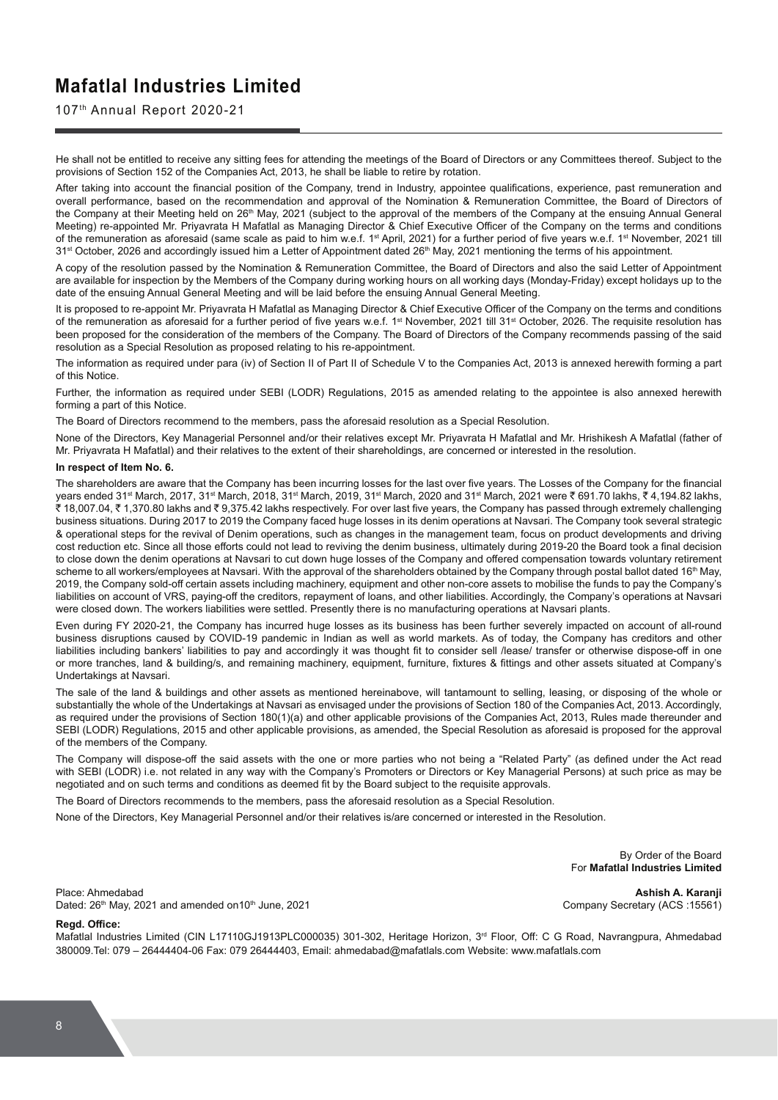### 107th Annual Report 2020-21

He shall not be entitled to receive any sitting fees for attending the meetings of the Board of Directors or any Committees thereof. Subject to the provisions of Section 152 of the Companies Act, 2013, he shall be liable to retire by rotation.

After taking into account the financial position of the Company, trend in Industry, appointee qualifications, experience, past remuneration and overall performance, based on the recommendation and approval of the Nomination & Remuneration Committee, the Board of Directors of the Company at their Meeting held on 26<sup>th</sup> May, 2021 (subject to the approval of the members of the Company at the ensuing Annual General Meeting) re-appointed Mr. Priyavrata H Mafatlal as Managing Director & Chief Executive Officer of the Company on the terms and conditions of the remuneration as aforesaid (same scale as paid to him w.e.f. 1<sup>st</sup> April, 2021) for a further period of five years w.e.f. 1<sup>st</sup> November, 2021 till 31<sup>st</sup> October, 2026 and accordingly issued him a Letter of Appointment dated 26<sup>th</sup> May, 2021 mentioning the terms of his appointment.

A copy of the resolution passed by the Nomination & Remuneration Committee, the Board of Directors and also the said Letter of Appointment are available for inspection by the Members of the Company during working hours on all working days (Monday-Friday) except holidays up to the date of the ensuing Annual General Meeting and will be laid before the ensuing Annual General Meeting.

It is proposed to re-appoint Mr. Priyavrata H Mafatlal as Managing Director & Chief Executive Officer of the Company on the terms and conditions of the remuneration as aforesaid for a further period of five years w.e.f. 1<sup>st</sup> November, 2021 till 31<sup>st</sup> October, 2026. The requisite resolution has been proposed for the consideration of the members of the Company. The Board of Directors of the Company recommends passing of the said resolution as a Special Resolution as proposed relating to his re-appointment.

The information as required under para (iv) of Section II of Part II of Schedule V to the Companies Act, 2013 is annexed herewith forming a part of this Notice.

Further, the information as required under SEBI (LODR) Regulations, 2015 as amended relating to the appointee is also annexed herewith forming a part of this Notice.

The Board of Directors recommend to the members, pass the aforesaid resolution as a Special Resolution.

None of the Directors, Key Managerial Personnel and/or their relatives except Mr. Priyavrata H Mafatlal and Mr. Hrishikesh A Mafatlal (father of Mr. Priyavrata H Mafatlal) and their relatives to the extent of their shareholdings, are concerned or interested in the resolution.

#### **In respect of Item No. 6.**

The shareholders are aware that the Company has been incurring losses for the last over five years. The Losses of the Company for the financial vears ended 31<sup>st</sup> March, 2017, 31<sup>st</sup> March, 2018, 31<sup>st</sup> March, 2019, 31<sup>st</sup> March, 2020 and 31<sup>st</sup> March, 2021 were ₹ 691.70 lakhs, ₹ 4,194.82 lakhs,  $\bar{\mathcal{R}}$  18,007.04,  $\bar{\mathcal{R}}$  1,370.80 lakhs and  $\bar{\mathcal{R}}$  9,375.42 lakhs respectively. For over last five years, the Company has passed through extremely challenging business situations. During 2017 to 2019 the Company faced huge losses in its denim operations at Navsari. The Company took several strategic & operational steps for the revival of Denim operations, such as changes in the management team, focus on product developments and driving cost reduction etc. Since all those efforts could not lead to reviving the denim business, ultimately during 2019-20 the Board took a final decision to close down the denim operations at Navsari to cut down huge losses of the Company and offered compensation towards voluntary retirement scheme to all workers/employees at Navsari. With the approval of the shareholders obtained by the Company through postal ballot dated 16<sup>th</sup> May, 2019, the Company sold-off certain assets including machinery, equipment and other non-core assets to mobilise the funds to pay the Company's liabilities on account of VRS, paying-off the creditors, repayment of loans, and other liabilities. Accordingly, the Company's operations at Navsari were closed down. The workers liabilities were settled. Presently there is no manufacturing operations at Navsari plants.

Even during FY 2020-21, the Company has incurred huge losses as its business has been further severely impacted on account of all-round business disruptions caused by COVID-19 pandemic in Indian as well as world markets. As of today, the Company has creditors and other liabilities including bankers' liabilities to pay and accordingly it was thought fit to consider sell /lease/ transfer or otherwise dispose-off in one or more tranches, land & building/s, and remaining machinery, equipment, furniture, fixtures & fittings and other assets situated at Company's Undertakings at Navsari.

The sale of the land & buildings and other assets as mentioned hereinabove, will tantamount to selling, leasing, or disposing of the whole or substantially the whole of the Undertakings at Navsari as envisaged under the provisions of Section 180 of the Companies Act, 2013. Accordingly, as required under the provisions of Section 180(1)(a) and other applicable provisions of the Companies Act, 2013, Rules made thereunder and SEBI (LODR) Regulations, 2015 and other applicable provisions, as amended, the Special Resolution as aforesaid is proposed for the approval of the members of the Company.

The Company will dispose-off the said assets with the one or more parties who not being a "Related Party" (as defined under the Act read with SEBI (LODR) i.e. not related in any way with the Company's Promoters or Directors or Key Managerial Persons) at such price as may be negotiated and on such terms and conditions as deemed fit by the Board subject to the requisite approvals.

The Board of Directors recommends to the members, pass the aforesaid resolution as a Special Resolution.

None of the Directors, Key Managerial Personnel and/or their relatives is/are concerned or interested in the Resolution.

By Order of the Board For **Mafatlal Industries Limited**

Place: Ahmedabad **Ashish A. Karanji**  Dated: 26<sup>th</sup> May, 2021 and amended on10<sup>th</sup> June, 2021 Company Secretary (ACS :15561)

#### **Read. Office:**

Mafatlal Industries Limited (CIN L17110GJ1913PLC000035) 301-302, Heritage Horizon, 3<sup>rd</sup> Floor, Off: C G Road, Navrangpura, Ahmedabad 380009.Tel: 079 – 26444404-06 Fax: 079 26444403, Email: ahmedabad@mafatlals.com Website: www.mafatlals.com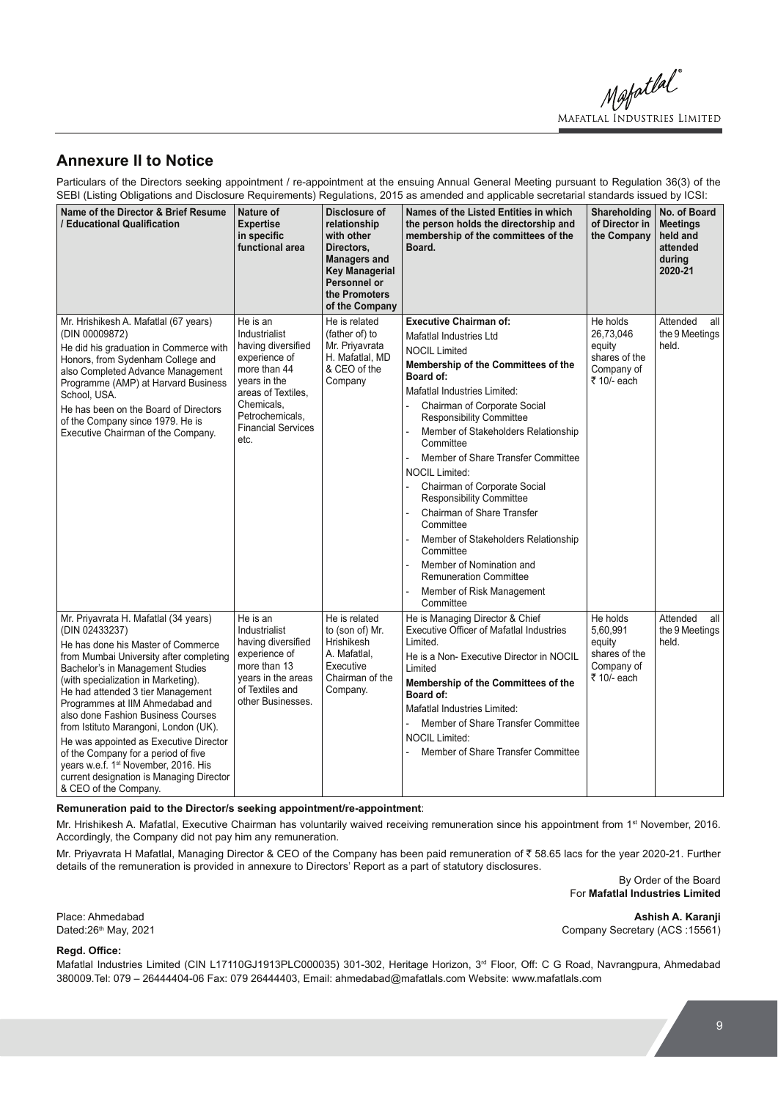Mapatlal MAFATLAL INDUSTRIES LIMITED

## **Annexure II to Notice**

Particulars of the Directors seeking appointment / re-appointment at the ensuing Annual General Meeting pursuant to Regulation 36(3) of the SEBI (Listing Obligations and Disclosure Requirements) Regulations, 2015 as amended and applicable secretarial standards issued by ICSI:

| Name of the Director & Brief Resume<br>/ Educational Qualification                                                                                                                                                                                                                                                                                                                                                                                                                                                                                                                   | Nature of<br><b>Expertise</b><br>in specific<br>functional area                                                                                                                              | Disclosure of<br>relationship<br>with other<br>Directors,<br><b>Managers and</b><br><b>Key Managerial</b><br>Personnel or | Names of the Listed Entities in which<br>the person holds the directorship and<br>membership of the committees of the<br>Board.                                                                                                                                                                                                                                                                                                                                                                                                                                                                                                     | <b>Shareholding</b><br>of Director in<br>the Company                          | No. of Board<br><b>Meetings</b><br>held and<br>attended<br>during<br>2020-21 |
|--------------------------------------------------------------------------------------------------------------------------------------------------------------------------------------------------------------------------------------------------------------------------------------------------------------------------------------------------------------------------------------------------------------------------------------------------------------------------------------------------------------------------------------------------------------------------------------|----------------------------------------------------------------------------------------------------------------------------------------------------------------------------------------------|---------------------------------------------------------------------------------------------------------------------------|-------------------------------------------------------------------------------------------------------------------------------------------------------------------------------------------------------------------------------------------------------------------------------------------------------------------------------------------------------------------------------------------------------------------------------------------------------------------------------------------------------------------------------------------------------------------------------------------------------------------------------------|-------------------------------------------------------------------------------|------------------------------------------------------------------------------|
|                                                                                                                                                                                                                                                                                                                                                                                                                                                                                                                                                                                      |                                                                                                                                                                                              | the Promoters<br>of the Company                                                                                           |                                                                                                                                                                                                                                                                                                                                                                                                                                                                                                                                                                                                                                     |                                                                               |                                                                              |
| Mr. Hrishikesh A. Mafatlal (67 years)<br>(DIN 00009872)<br>He did his graduation in Commerce with<br>Honors, from Sydenham College and<br>also Completed Advance Management<br>Programme (AMP) at Harvard Business<br>School, USA.<br>He has been on the Board of Directors<br>of the Company since 1979. He is<br>Executive Chairman of the Company.                                                                                                                                                                                                                                | He is an<br>Industrialist<br>having diversified<br>experience of<br>more than 44<br>years in the<br>areas of Textiles.<br>Chemicals,<br>Petrochemicals.<br><b>Financial Services</b><br>etc. | He is related<br>(father of) to<br>Mr. Priyavrata<br>H. Mafatlal, MD<br>& CEO of the<br>Company                           | <b>Executive Chairman of:</b><br>Mafatlal Industries Ltd<br><b>NOCIL Limited</b><br>Membership of the Committees of the<br>Board of:<br>Mafatlal Industries Limited:<br>Chairman of Corporate Social<br><b>Responsibility Committee</b><br>Member of Stakeholders Relationship<br>Committee<br>Member of Share Transfer Committee<br><b>NOCIL Limited:</b><br>Chairman of Corporate Social<br><b>Responsibility Committee</b><br>Chairman of Share Transfer<br>Committee<br>Member of Stakeholders Relationship<br>Committee<br>Member of Nomination and<br><b>Remuneration Committee</b><br>Member of Risk Management<br>Committee | He holds<br>26,73,046<br>equity<br>shares of the<br>Company of<br>₹ 10/- each | Attended<br>all<br>the 9 Meetings<br>held.                                   |
| Mr. Priyavrata H. Mafatlal (34 years)<br>(DIN 02433237)<br>He has done his Master of Commerce<br>from Mumbai University after completing<br>Bachelor's in Management Studies<br>(with specialization in Marketing).<br>He had attended 3 tier Management<br>Programmes at IIM Ahmedabad and<br>also done Fashion Business Courses<br>from Istituto Marangoni, London (UK).<br>He was appointed as Executive Director<br>of the Company for a period of five<br>years w.e.f. 1 <sup>st</sup> November, 2016. His<br>current designation is Managing Director<br>& CEO of the Company. | He is an<br>Industrialist<br>having diversified<br>experience of<br>more than 13<br>years in the areas<br>of Textiles and<br>other Businesses.                                               | He is related<br>to (son of) Mr.<br><b>Hrishikesh</b><br>A. Mafatlal.<br>Executive<br>Chairman of the<br>Company.         | He is Managing Director & Chief<br>Executive Officer of Mafatlal Industries<br>Limited.<br>He is a Non-Executive Director in NOCIL<br>Limited<br>Membership of the Committees of the<br>Board of:<br>Mafatlal Industries Limited:<br>Member of Share Transfer Committee<br><b>NOCIL Limited:</b><br>Member of Share Transfer Committee                                                                                                                                                                                                                                                                                              | He holds<br>5,60,991<br>equity<br>shares of the<br>Company of<br>₹ 10/- each  | Attended<br>all<br>the 9 Meetings<br>held.                                   |

#### **Remuneration paid to the Director/s seeking appointment/re-appointment**:

Mr. Hrishikesh A. Mafatlal, Executive Chairman has voluntarily waived receiving remuneration since his appointment from 1<sup>st</sup> November, 2016. Accordingly, the Company did not pay him any remuneration.

Mr. Priyavrata H Mafatlal, Managing Director & CEO of the Company has been paid remuneration of ₹58.65 lacs for the year 2020-21. Further details of the remuneration is provided in annexure to Directors' Report as a part of statutory disclosures.

> By Order of the Board For **Mafatlal Industries Limited**

Place: Ahmedabad **Ashish A. Karanji**  Dated:26<sup>th</sup> May, 2021 2012 2012 2012 2012 20:40 20:40 20:40 20:40 20:40 20:40 20:40 20:40 20:40 20:40 20:40 20:40

#### **Read. Office:**

Mafatlal Industries Limited (CIN L17110GJ1913PLC000035) 301-302, Heritage Horizon, 3<sup>rd</sup> Floor, Off: C G Road, Navrangpura, Ahmedabad 380009.Tel: 079 – 26444404-06 Fax: 079 26444403, Email: ahmedabad@mafatlals.com Website: www.mafatlals.com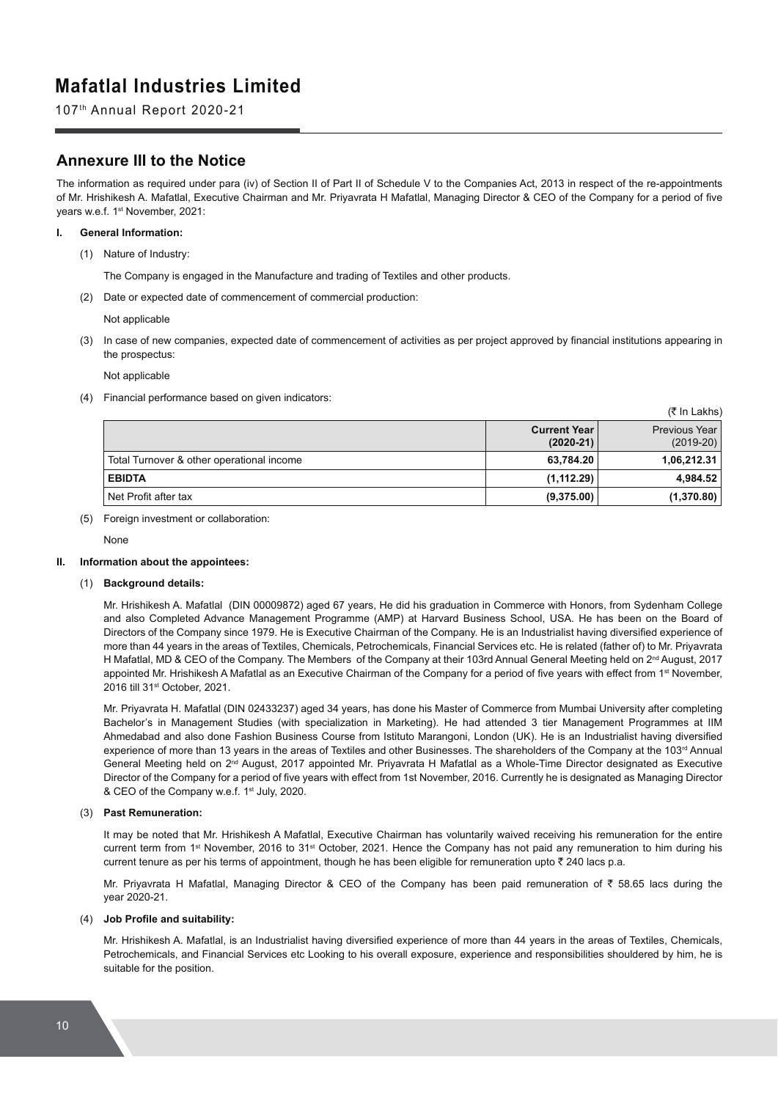107th Annual Report 2020-21

## **Annexure III to the Notice**

The information as required under para (iv) of Section II of Part II of Schedule V to the Companies Act, 2013 in respect of the re-appointments of Mr. Hrishikesh A. Mafatlal. Executive Chairman and Mr. Privavrata H Mafatlal. Managing Director & CEO of the Company for a period of five years w.e.f. 1<sup>st</sup> November, 2021:

#### **I. General Information:**

(1) Nature of Industry:

The Company is engaged in the Manufacture and trading of Textiles and other products.

(2) Date or expected date of commencement of commercial production:

Not applicable

(3) In case of new companies, expected date of commencement of activities as per project approved by financial institutions appearing in the prospectus:

Not applicable

(4) Financial performance based on given indicators:

| .                                         |                                    |                                |  |  |
|-------------------------------------------|------------------------------------|--------------------------------|--|--|
|                                           | <b>Current Year</b><br>$(2020-21)$ | Previous Year I<br>$(2019-20)$ |  |  |
| Total Turnover & other operational income | 63,784.20                          | 1,06,212.31                    |  |  |
| <b>EBIDTA</b>                             | (1, 112.29)                        | 4,984.52                       |  |  |
| Net Profit after tax                      | (9,375.00)                         | (1,370.80)                     |  |  |

 $(\bar{z} \ln |A|)$ 

(5) Foreign investment or collaboration:

None

#### **II. Information about the appointees:**

#### (1) **Background details:**

 Mr. Hrishikesh A. Mafatlal (DIN 00009872) aged 67 years, He did his graduation in Commerce with Honors, from Sydenham College and also Completed Advance Management Programme (AMP) at Harvard Business School, USA. He has been on the Board of Directors of the Company since 1979. He is Executive Chairman of the Company. He is an Industrialist having diversified experience of more than 44 years in the areas of Textiles, Chemicals, Petrochemicals, Financial Services etc. He is related (father of) to Mr. Priyavrata H Mafatlal, MD & CEO of the Company. The Members of the Company at their 103rd Annual General Meeting held on 2<sup>nd</sup> August, 2017 appointed Mr. Hrishikesh A Mafatlal as an Executive Chairman of the Company for a period of five years with effect from 1<sup>st</sup> November, 2016 till 31st October, 2021.

 Mr. Priyavrata H. Mafatlal (DIN 02433237) aged 34 years, has done his Master of Commerce from Mumbai University after completing Bachelor's in Management Studies (with specialization in Marketing). He had attended 3 tier Management Programmes at IIM Ahmedabad and also done Fashion Business Course from Istituto Marangoni, London (UK). He is an Industrialist having diversified experience of more than 13 years in the areas of Textiles and other Businesses. The shareholders of the Company at the 103<sup>rd</sup> Annual General Meeting held on 2nd August, 2017 appointed Mr. Priyavrata H Mafatlal as a Whole-Time Director designated as Executive Director of the Company for a period of five years with effect from 1st November, 2016. Currently he is designated as Managing Director & CEO of the Company w.e.f. 1<sup>st</sup> July, 2020.

#### (3) **Past Remuneration:**

 It may be noted that Mr. Hrishikesh A Mafatlal, Executive Chairman has voluntarily waived receiving his remuneration for the entire current term from 1st November, 2016 to 31st October, 2021. Hence the Company has not paid any remuneration to him during his current tenure as per his terms of appointment, though he has been eligible for remuneration upto  $\bar{z}$  240 lacs p.a.

Mr. Priyavrata H Mafatlal, Managing Director & CEO of the Company has been paid remuneration of  $\bar{z}$  58.65 lacs during the year 2020-21.

#### (4) **Job Profile and suitability:**

Mr. Hrishikesh A. Mafatlal, is an Industrialist having diversified experience of more than 44 years in the areas of Textiles, Chemicals, Petrochemicals, and Financial Services etc Looking to his overall exposure, experience and responsibilities shouldered by him, he is suitable for the position.